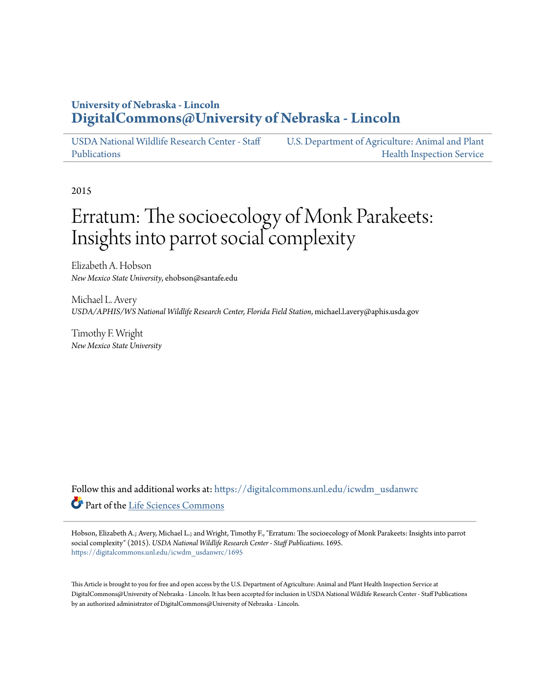# **University of Nebraska - Lincoln [DigitalCommons@University of Nebraska - Lincoln](https://digitalcommons.unl.edu?utm_source=digitalcommons.unl.edu%2Ficwdm_usdanwrc%2F1695&utm_medium=PDF&utm_campaign=PDFCoverPages)**

[USDA National Wildlife Research Center - Staff](https://digitalcommons.unl.edu/icwdm_usdanwrc?utm_source=digitalcommons.unl.edu%2Ficwdm_usdanwrc%2F1695&utm_medium=PDF&utm_campaign=PDFCoverPages) [Publications](https://digitalcommons.unl.edu/icwdm_usdanwrc?utm_source=digitalcommons.unl.edu%2Ficwdm_usdanwrc%2F1695&utm_medium=PDF&utm_campaign=PDFCoverPages)

[U.S. Department of Agriculture: Animal and Plant](https://digitalcommons.unl.edu/usdaaphis?utm_source=digitalcommons.unl.edu%2Ficwdm_usdanwrc%2F1695&utm_medium=PDF&utm_campaign=PDFCoverPages) [Health Inspection Service](https://digitalcommons.unl.edu/usdaaphis?utm_source=digitalcommons.unl.edu%2Ficwdm_usdanwrc%2F1695&utm_medium=PDF&utm_campaign=PDFCoverPages)

2015

# Erratum: The socioecology of Monk Parakeets: Insights into parrot social complexity

Elizabeth A. Hobson *New Mexico State University*, ehobson@santafe.edu

Michael L. Avery *USDA/APHIS/WS National Wildlife Research Center, Florida Field Station*, michael.l.avery@aphis.usda.gov

Timothy F. Wright *New Mexico State University*

Follow this and additional works at: [https://digitalcommons.unl.edu/icwdm\\_usdanwrc](https://digitalcommons.unl.edu/icwdm_usdanwrc?utm_source=digitalcommons.unl.edu%2Ficwdm_usdanwrc%2F1695&utm_medium=PDF&utm_campaign=PDFCoverPages) Part of the [Life Sciences Commons](http://network.bepress.com/hgg/discipline/1016?utm_source=digitalcommons.unl.edu%2Ficwdm_usdanwrc%2F1695&utm_medium=PDF&utm_campaign=PDFCoverPages)

Hobson, Elizabeth A.; Avery, Michael L.; and Wright, Timothy F., "Erratum: The socioecology of Monk Parakeets: Insights into parrot social complexity" (2015). *USDA National Wildlife Research Center - Staff Publications*. 1695. [https://digitalcommons.unl.edu/icwdm\\_usdanwrc/1695](https://digitalcommons.unl.edu/icwdm_usdanwrc/1695?utm_source=digitalcommons.unl.edu%2Ficwdm_usdanwrc%2F1695&utm_medium=PDF&utm_campaign=PDFCoverPages)

This Article is brought to you for free and open access by the U.S. Department of Agriculture: Animal and Plant Health Inspection Service at DigitalCommons@University of Nebraska - Lincoln. It has been accepted for inclusion in USDA National Wildlife Research Center - Staff Publications by an authorized administrator of DigitalCommons@University of Nebraska - Lincoln.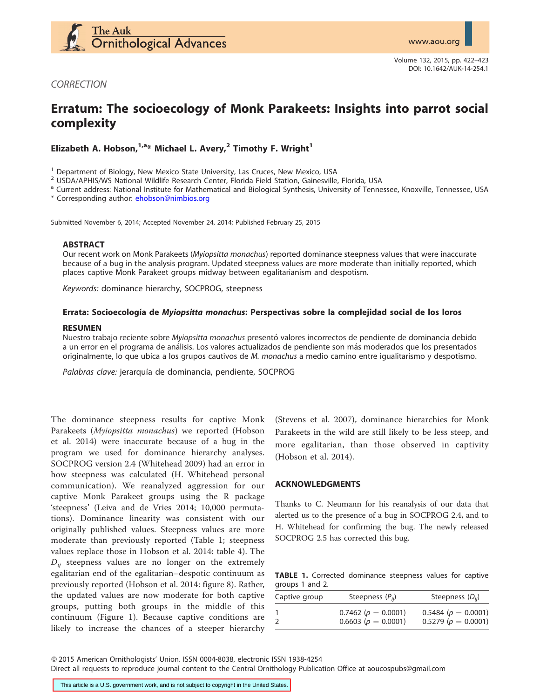

**CORRECTION** 

# Erratum: The socioecology of Monk Parakeets: Insights into parrot social complexity

Elizabeth A. Hobson,  $1, a*$  Michael L. Avery, <sup>2</sup> Timothy F. Wright<sup>1</sup>

<sup>1</sup> Department of Biology, New Mexico State University, Las Cruces, New Mexico, USA<br><sup>2</sup> USDA/APHIS/WS National Wildlife Research Center, Florida Field Station, Gainesville, Florida, USA<br><sup>a</sup> Current address: National Instit

\* Corresponding author: [ehobson@nimbios.org](mailto:ehobson@nimbios.org)

Submitted November 6, 2014; Accepted November 24, 2014; Published February 25, 2015

## ABSTRACT

Our recent work on Monk Parakeets (Myiopsitta monachus) reported dominance steepness values that were inaccurate because of a bug in the analysis program. Updated steepness values are more moderate than initially reported, which places captive Monk Parakeet groups midway between egalitarianism and despotism.

Keywords: dominance hierarchy, SOCPROG, steepness

#### Errata: Socioecología de Myiopsitta monachus: Perspectivas sobre la complejidad social de los loros

#### RESUMEN

Nuestro trabajo reciente sobre Myiopsitta monachus presentó valores incorrectos de pendiente de dominancia debido a un error en el programa de análisis. Los valores actualizados de pendiente son más moderados que los presentados originalmente, lo que ubica a los grupos cautivos de M. monachus a medio camino entre igualitarismo y despotismo.

Palabras clave: jerarquía de dominancia, pendiente, SOCPROG

The dominance steepness results for captive Monk Parakeets (Myiopsitta monachus) we reported (Hobson et al. 2014) were inaccurate because of a bug in the program we used for dominance hierarchy analyses. SOCPROG version 2.4 (Whitehead 2009) had an error in how steepness was calculated (H. Whitehead personal communication). We reanalyzed aggression for our captive Monk Parakeet groups using the R package 'steepness' (Leiva and de Vries 2014; 10,000 permutations). Dominance linearity was consistent with our originally published values. Steepness values are more moderate than previously reported (Table 1; steepness values replace those in Hobson et al. 2014: table 4). The  $D_{ii}$  steepness values are no longer on the extremely egalitarian end of the egalitarian–despotic continuum as previously reported (Hobson et al. 2014: figure 8). Rather, the updated values are now moderate for both captive groups, putting both groups in the middle of this continuum (Figure 1). Because captive conditions are likely to increase the chances of a steeper hierarchy

(Stevens et al. 2007), dominance hierarchies for Monk Parakeets in the wild are still likely to be less steep, and more egalitarian, than those observed in captivity (Hobson et al. 2014).

#### ACKNOWLEDGMENTS

Thanks to C. Neumann for his reanalysis of our data that alerted us to the presence of a bug in SOCPROG 2.4, and to H. Whitehead for confirming the bug. The newly released SOCPROG 2.5 has corrected this bug.

TABLE 1. Corrected dominance steepness values for captive groups 1 and 2.

| Captive group | Steepness $(P_{ii})$                               | Steepness $(D_{ij})$                                 |
|---------------|----------------------------------------------------|------------------------------------------------------|
|               | 0.7462 ( $p = 0.0001$ )<br>0.6603 ( $p = 0.0001$ ) | $0.5484$ ( $p = 0.0001$ )<br>0.5279 ( $p = 0.0001$ ) |

Q 2015 American Ornithologists' Union. ISSN 0004-8038, electronic ISSN 1938-4254

Direct all requests to reproduce journal content to the Central Ornithology Publication Office at aoucospubs@gmail.com